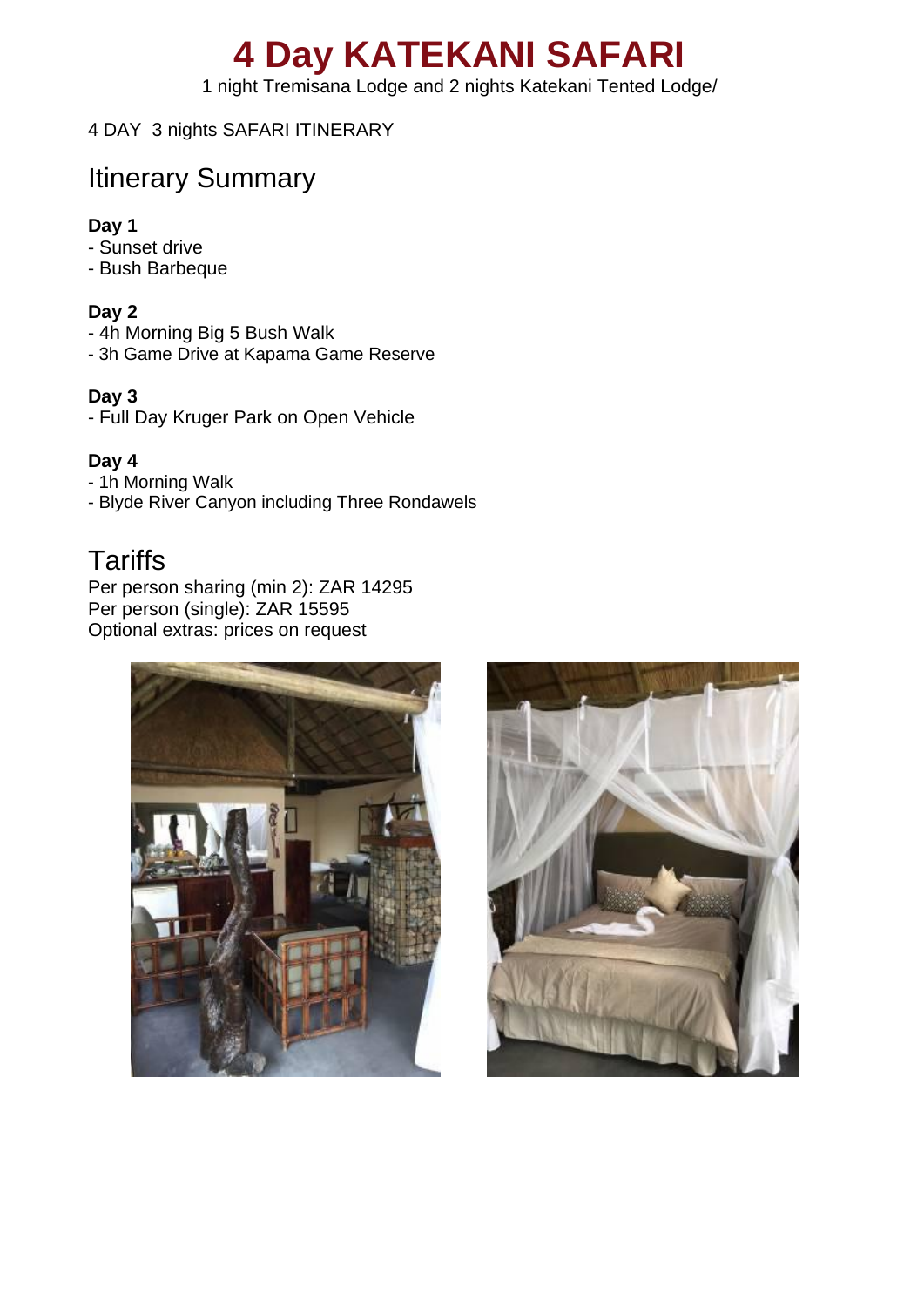# **4 Day KATEKANI SAFARI**

1 night Tremisana Lodge and 2 nights Katekani Tented Lodge/

#### 4 DAY 3 nights SAFARI ITINERARY

# Itinerary Summary

#### **Day 1**

- Sunset drive
- Bush Barbeque

#### **Day 2**

- 4h Morning Big 5 Bush Walk
- 3h Game Drive at Kapama Game Reserve

#### **Day 3**

- Full Day Kruger Park on Open Vehicle

#### **Day 4**

- 1h Morning Walk
- Blyde River Canyon including Three Rondawels

### **Tariffs**

Per person sharing (min 2): ZAR 14295 Per person (single): ZAR 15595 Optional extras: prices on request



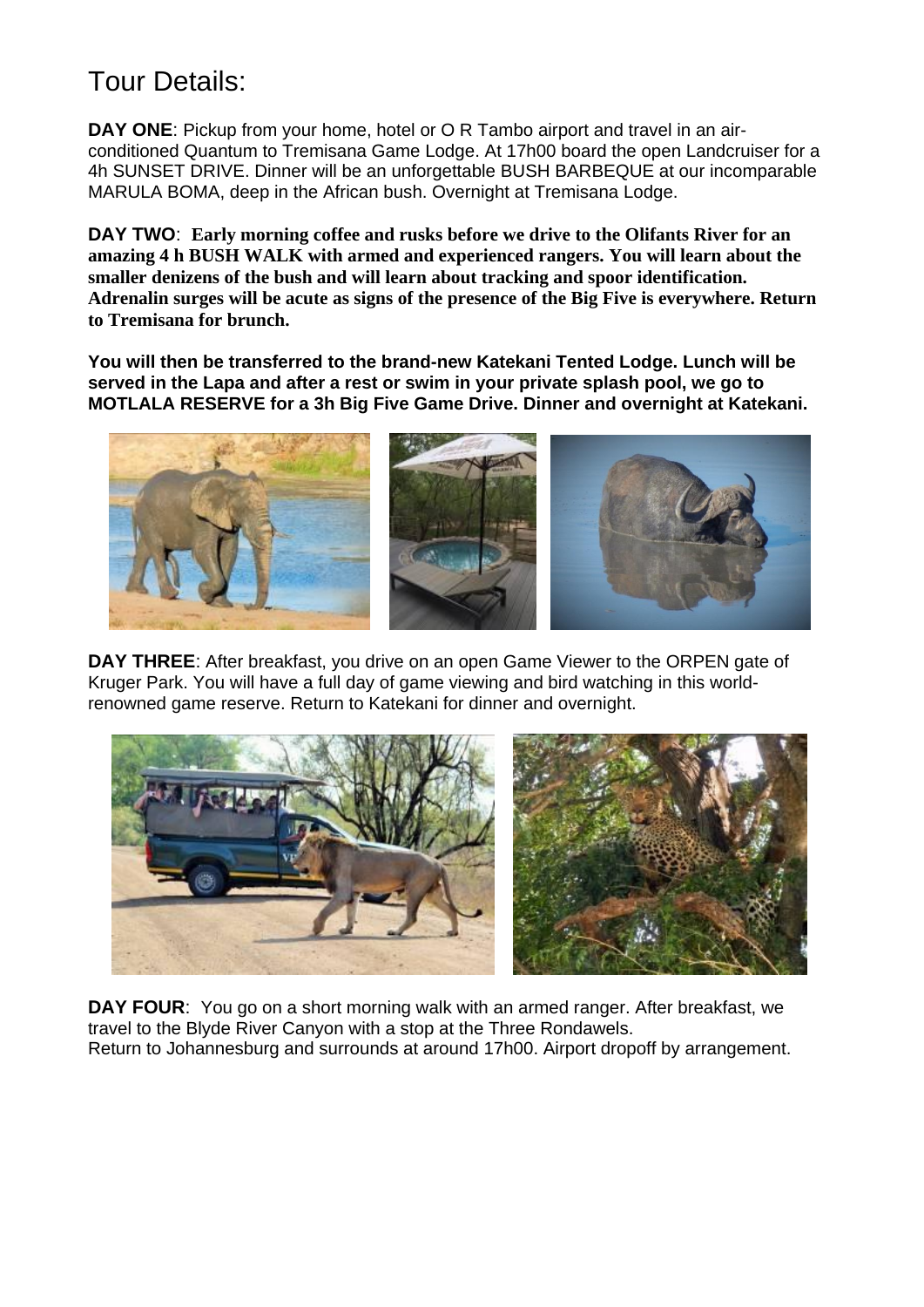# Tour Details:

**DAY ONE**: Pickup from your home, hotel or O R Tambo airport and travel in an airconditioned Quantum to Tremisana Game Lodge. At 17h00 board the open Landcruiser for a 4h SUNSET DRIVE. Dinner will be an unforgettable BUSH BARBEQUE at our incomparable MARULA BOMA, deep in the African bush. Overnight at Tremisana Lodge.

**DAY TWO**: **Early morning coffee and rusks before we drive to the Olifants River for an amazing 4 h BUSH WALK with armed and experienced rangers. You will learn about the smaller denizens of the bush and will learn about tracking and spoor identification. Adrenalin surges will be acute as signs of the presence of the Big Five is everywhere. Return to Tremisana for brunch.**

**You will then be transferred to the brand-new Katekani Tented Lodge. Lunch will be served in the Lapa and after a rest or swim in your private splash pool, we go to MOTLALA RESERVE for a 3h Big Five Game Drive. Dinner and overnight at Katekani.**



**DAY THREE**: After breakfast, you drive on an open Game Viewer to the ORPEN gate of Kruger Park. You will have a full day of game viewing and bird watching in this worldrenowned game reserve. Return to Katekani for dinner and overnight.



**DAY FOUR**: You go on a short morning walk with an armed ranger. After breakfast, we travel to the Blyde River Canyon with a stop at the Three Rondawels. Return to Johannesburg and surrounds at around 17h00. Airport dropoff by arrangement.